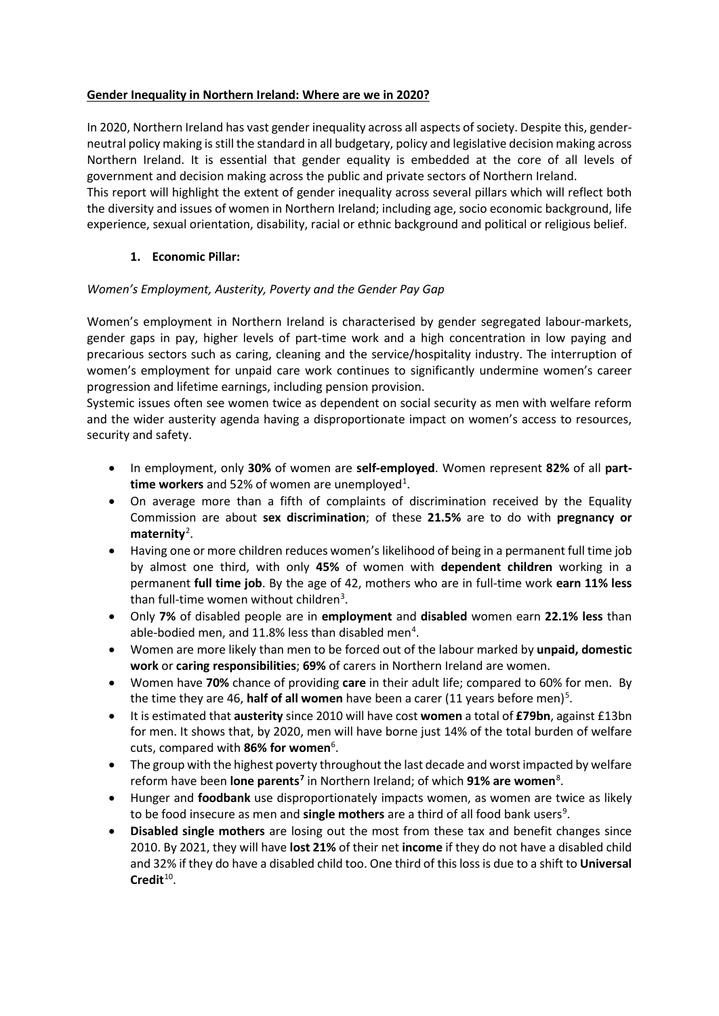#### **Gender Inequality in Northern Ireland: Where are we in 2020?**

In 2020, Northern Ireland has vast gender inequality across all aspects of society. Despite this, genderneutral policy making is still the standard in all budgetary, policy and legislative decision making across Northern Ireland. It is essential that gender equality is embedded at the core of all levels of government and decision making across the public and private sectors of Northern Ireland.

This report will highlight the extent of gender inequality across several pillars which will reflect both the diversity and issues of women in Northern Ireland; including age, socio economic background, life experience, sexual orientation, disability, racial or ethnic background and political or religious belief.

## **1. Economic Pillar:**

## *Women's Employment, Austerity, Poverty and the Gender Pay Gap*

Women's employment in Northern Ireland is characterised by gender segregated labour-markets, gender gaps in pay, higher levels of part-time work and a high concentration in low paying and precarious sectors such as caring, cleaning and the service/hospitality industry. The interruption of women's employment for unpaid care work continues to significantly undermine women's career progression and lifetime earnings, including pension provision.

Systemic issues often see women twice as dependent on social security as men with welfare reform and the wider austerity agenda having a disproportionate impact on women's access to resources, security and safety.

- In employment, only **30%** of women are **self-employed**. Women represent **82%** of all **parttime workers** and 52% of women are unemployed<sup>1</sup>.
- On average more than a fifth of complaints of discrimination received by the Equality Commission are about **sex discrimination**; of these **21.5%** are to do with **pregnancy or**  maternity<sup>[2](#page-3-1)</sup>.
- Having one or more children reduces women's likelihood of being in a permanent full time job by almost one third, with only **45%** of women with **dependent children** working in a permanent **full time job**. By the age of 42, mothers who are in full-time work **earn 11% less** than full-time women without children<sup>[3](#page-3-2)</sup>.
- Only **7%** of disabled people are in **employment** and **disabled** women earn **22.1% less** than able-bodied men, and 11.8% less than disabled men<sup>[4](#page-3-3)</sup>.
- Women are more likely than men to be forced out of the labour marked by **unpaid, domestic work** or **caring responsibilities**; **69%** of carers in Northern Ireland are women.
- Women have **70%** chance of providing **care** in their adult life; compared to 60% for men. By the time they are 46, **half of all women** have been a carer (11 years before men)<sup>[5](#page-3-4)</sup>.
- It is estimated that **austerity** since 2010 will have cost **women** a total of **£79bn**, against £13bn for men. It shows that, by 2020, men will have borne just 14% of the total burden of welfare cuts, compared with 8[6](#page-3-5)% for women<sup>6</sup>.
- The group with the highest poverty throughout the last decade and worst impacted by welfare reform have been **lone parents[7](#page-3-6)** in Northern Ireland; of which **91% are women**[8](#page-3-7) .
- Hunger and **foodbank** use disproportionately impacts women, as women are twice as likely to be food insecure as men and **single mothers** are a third of all food bank users<sup>[9](#page-3-8)</sup>.
- **Disabled single mothers** are losing out the most from these tax and benefit changes since 2010. By 2021, they will have **lost 21%** of their net **income** if they do not have a disabled child and 32% if they do have a disabled child too. One third of this loss is due to a shift to **Universal Credit**[10](#page-3-9).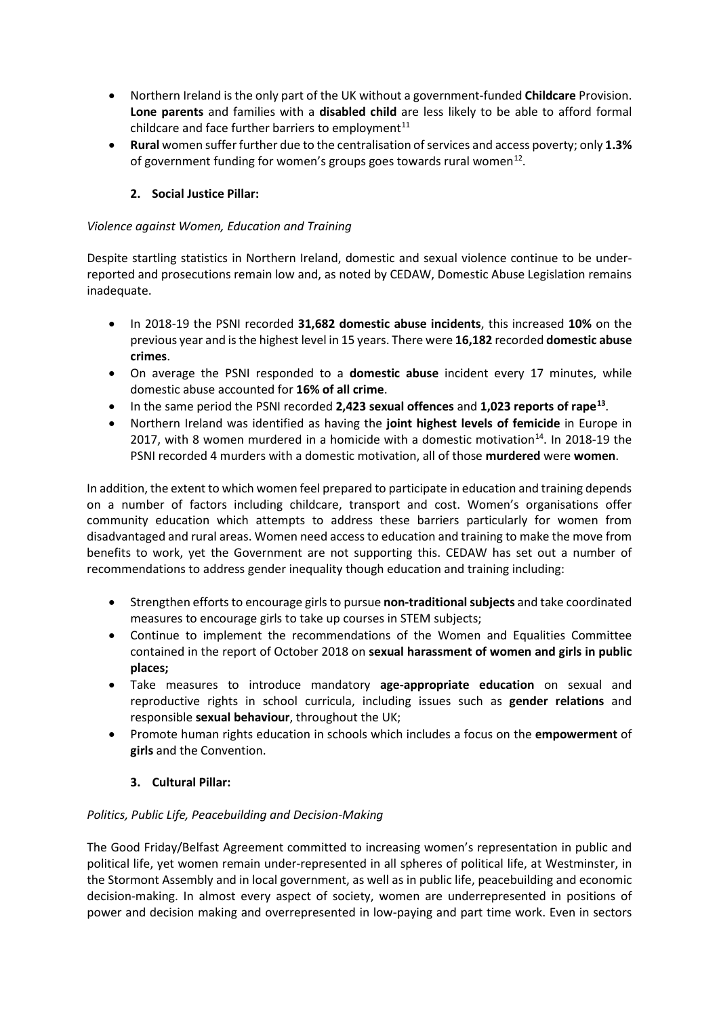- Northern Ireland is the only part of the UK without a government-funded **Childcare** Provision. **Lone parents** and families with a **disabled child** are less likely to be able to afford formal childcare and face further barriers to employment<sup>[11](#page-4-0)</sup>
- **Rural** women suffer further due to the centralisation of services and access poverty; only **1.3%** of government funding for women's groups goes towards rural women<sup>12</sup>.

# **2. Social Justice Pillar:**

## *Violence against Women, Education and Training*

Despite startling statistics in Northern Ireland, domestic and sexual violence continue to be underreported and prosecutions remain low and, as noted by CEDAW, Domestic Abuse Legislation remains inadequate.

- In 2018-19 the PSNI recorded **31,682 domestic abuse incidents**, this increased **10%** on the previous year and is the highest level in 15 years. There were **16,182** recorded **domestic abuse crimes**.
- On average the PSNI responded to a **domestic abuse** incident every 17 minutes, while domestic abuse accounted for **16% of all crime**.
- In the same period the PSNI recorded **2,423 sexual offences** and **1,023 reports of rape[13](#page-4-2)**.
- Northern Ireland was identified as having the **joint highest levels of femicide** in Europe in 2017, with 8 women murdered in a homicide with a domestic motivation<sup>[14](#page-4-3)</sup>. In 2018-19 the PSNI recorded 4 murders with a domestic motivation, all of those **murdered** were **women**.

In addition, the extent to which women feel prepared to participate in education and training depends on a number of factors including childcare, transport and cost. Women's organisations offer community education which attempts to address these barriers particularly for women from disadvantaged and rural areas. Women need access to education and training to make the move from benefits to work, yet the Government are not supporting this. CEDAW has set out a number of recommendations to address gender inequality though education and training including:

- Strengthen efforts to encourage girls to pursue **non-traditional subjects** and take coordinated measures to encourage girls to take up courses in STEM subjects;
- Continue to implement the recommendations of the Women and Equalities Committee contained in the report of October 2018 on **sexual harassment of women and girls in public places;**
- Take measures to introduce mandatory **age-appropriate education** on sexual and reproductive rights in school curricula, including issues such as **gender relations** and responsible **sexual behaviour**, throughout the UK;
- Promote human rights education in schools which includes a focus on the **empowerment** of **girls** and the Convention.
	- **3. Cultural Pillar:**

## *Politics, Public Life, Peacebuilding and Decision-Making*

The Good Friday/Belfast Agreement committed to increasing women's representation in public and political life, yet women remain under-represented in all spheres of political life, at Westminster, in the Stormont Assembly and in local government, as well as in public life, peacebuilding and economic decision-making. In almost every aspect of society, women are underrepresented in positions of power and decision making and overrepresented in low-paying and part time work. Even in sectors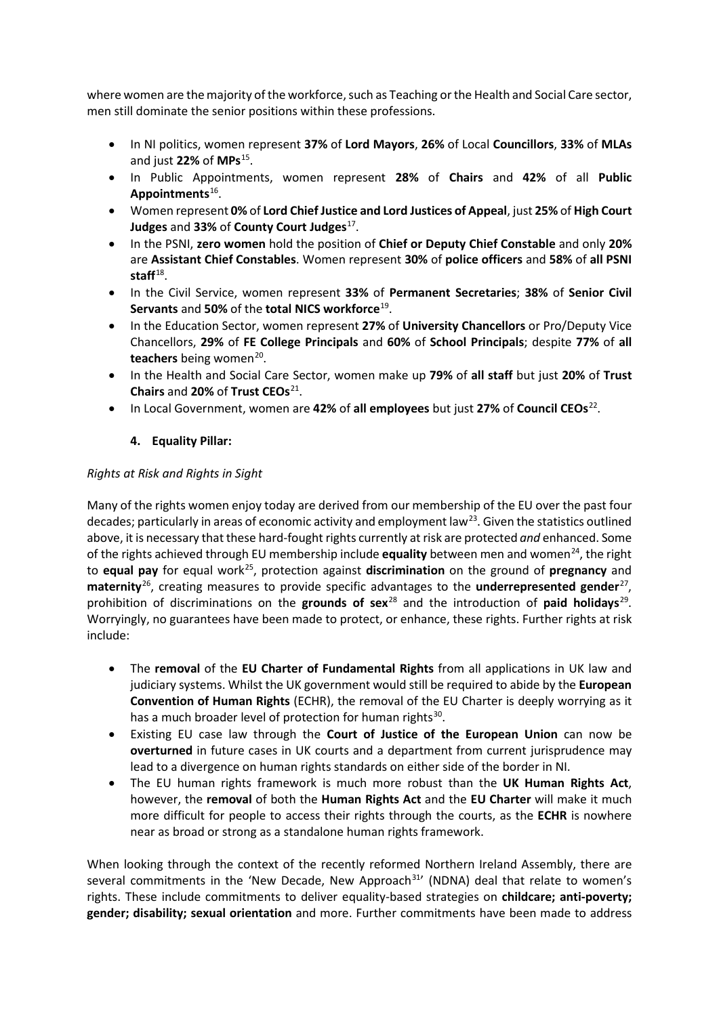where women are the majority of the workforce, such as Teaching or the Health and Social Care sector, men still dominate the senior positions within these professions.

- In NI politics, women represent **37%** of **Lord Mayors**, **26%** of Local **Councillors**, **33%** of **MLAs** and just **22%** of **MPs**[15.](#page-4-4)
- In Public Appointments, women represent **28%** of **Chairs** and **42%** of all **Public Appointments**[16.](#page-4-5)
- Women represent **0%** of **Lord Chief Justice and Lord Justices of Appeal**, just **25%** of **High Court Judges** and **33%** of **County Court Judges**<sup>17</sup>.
- In the PSNI, **zero women** hold the position of **Chief or Deputy Chief Constable** and only **20%** are **Assistant Chief Constables**. Women represent **30%** of **police officers** and **58%** of **all PSNI**  staff<sup>[18](#page-4-7)</sup>.
- In the Civil Service, women represent **33%** of **Permanent Secretaries**; **38%** of **Senior Civil Servants** and **50%** of the **total NICS workforce**[19](#page-4-8).
- In the Education Sector, women represent **27%** of **University Chancellors** or Pro/Deputy Vice Chancellors, **29%** of **FE College Principals** and **60%** of **School Principals**; despite **77%** of **all teachers** being women<sup>[20](#page-4-9)</sup>.
- In the Health and Social Care Sector, women make up **79%** of **all staff** but just **20%** of **Trust Chairs** and **20%** of **Trust CEOs**[21.](#page-4-10)
- In Local Government, women are **42%** of **all employees** but just **27%** of **Council CEOs**[22.](#page-4-11)

## **4. Equality Pillar:**

## *Rights at Risk and Rights in Sight*

Many of the rights women enjoy today are derived from our membership of the EU over the past four decades; particularly in areas of economic activity and employment law<sup>[23](#page-4-12)</sup>. Given the statistics outlined above, it is necessary that these hard-fought rights currently at risk are protected *and* enhanced. Some of the rights achieved through EU membership include **equality** between men and women<sup>[24](#page-4-13)</sup>, the right to **equal pay** for equal work[25](#page-4-14), protection against **discrimination** on the ground of **pregnancy** and maternity<sup>26</sup>, creating measures to provide specific advantages to the **underrepresented gender**<sup>[27](#page-4-16)</sup>, prohibition of discriminations on the **grounds of sex**[28](#page-4-17) and the introduction of **paid holidays**[29](#page-4-18). Worryingly, no guarantees have been made to protect, or enhance, these rights. Further rights at risk include:

- The **removal** of the **EU Charter of Fundamental Rights** from all applications in UK law and judiciary systems. Whilst the UK government would still be required to abide by the **European Convention of Human Rights** (ECHR), the removal of the EU Charter is deeply worrying as it has a much broader level of protection for human rights $30$ .
- Existing EU case law through the **Court of Justice of the European Union** can now be **overturned** in future cases in UK courts and a department from current jurisprudence may lead to a divergence on human rights standards on either side of the border in NI.
- The EU human rights framework is much more robust than the **UK Human Rights Act**, however, the **removal** of both the **Human Rights Act** and the **EU Charter** will make it much more difficult for people to access their rights through the courts, as the **ECHR** is nowhere near as broad or strong as a standalone human rights framework.

When looking through the context of the recently reformed Northern Ireland Assembly, there are several commitments in the 'New Decade, New Approach $31'$  $31'$  (NDNA) deal that relate to women's rights. These include commitments to deliver equality-based strategies on **childcare; anti-poverty; gender; disability; sexual orientation** and more. Further commitments have been made to address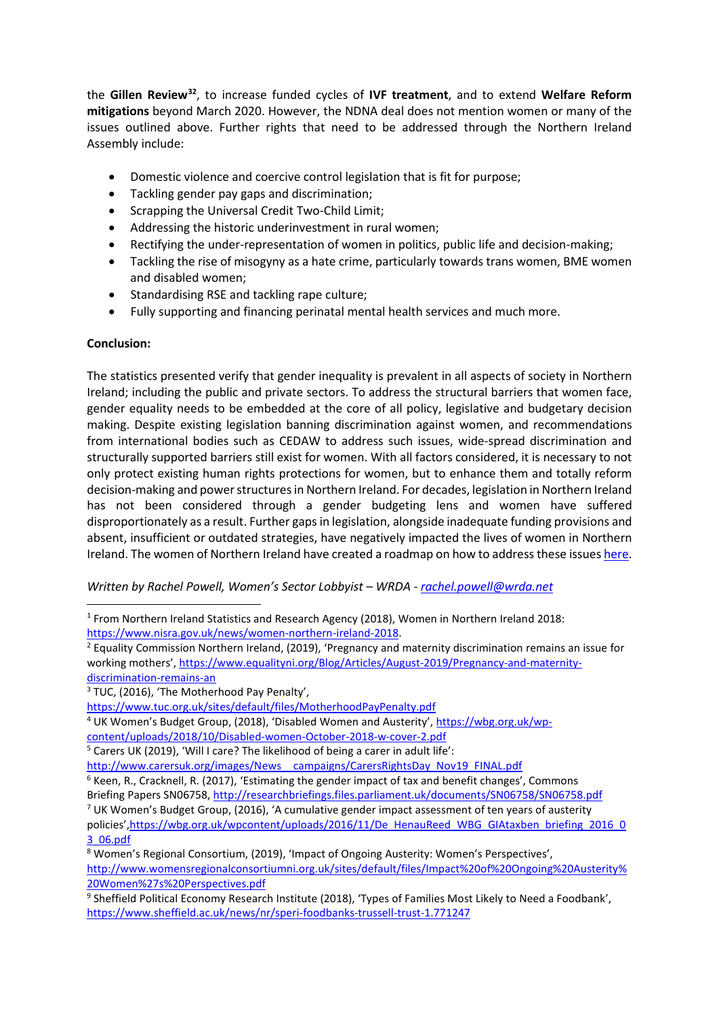<span id="page-3-9"></span>the **Gillen Review[32](#page-4-21)**, to increase funded cycles of **IVF treatment**, and to extend **Welfare Reform mitigations** beyond March 2020. However, the NDNA deal does not mention women or many of the issues outlined above. Further rights that need to be addressed through the Northern Ireland Assembly include:

- Domestic violence and coercive control legislation that is fit for purpose;
- Tackling gender pay gaps and discrimination;
- Scrapping the Universal Credit Two-Child Limit;
- Addressing the historic underinvestment in rural women;
- Rectifying the under-representation of women in politics, public life and decision-making;
- Tackling the rise of misogyny as a hate crime, particularly towards trans women, BME women and disabled women;
- Standardising RSE and tackling rape culture;
- Fully supporting and financing perinatal mental health services and much more.

#### **Conclusion:**

**.** 

The statistics presented verify that gender inequality is prevalent in all aspects of society in Northern Ireland; including the public and private sectors. To address the structural barriers that women face, gender equality needs to be embedded at the core of all policy, legislative and budgetary decision making. Despite existing legislation banning discrimination against women, and recommendations from international bodies such as CEDAW to address such issues, wide-spread discrimination and structurally supported barriers still exist for women. With all factors considered, it is necessary to not only protect existing human rights protections for women, but to enhance them and totally reform decision-making and power structures in Northern Ireland. For decades, legislation in Northern Ireland has not been considered through a gender budgeting lens and women have suffered disproportionately as a result. Further gaps in legislation, alongside inadequate funding provisions and absent, insufficient or outdated strategies, have negatively impacted the lives of women in Northern Ireland. The women of Northern Ireland have created a roadmap on how to address these issue[s here.](http://www.womensregionalconsortiumni.org.uk/sites/default/files/Women%27sManifesto2019.pdf)

#### *Written by Rachel Powell, Women's Sector Lobbyist – WRDA - [rachel.powell@wrda.net](mailto:rachel.powell@wrda.net)*

<span id="page-3-1"></span>https://www.nisra.gov.uk/news/women-northern-ireland-2018.<br><sup>2</sup> Equality Commission Northern Ireland, (2019), 'Pregnancy and maternity discrimination remains an issue for working mothers'[, https://www.equalityni.org/Blog/Articles/August-2019/Pregnancy-and-maternity](https://www.equalityni.org/Blog/Articles/August-2019/Pregnancy-and-maternity-discrimination-remains-an)[discrimination-remains-an](https://www.equalityni.org/Blog/Articles/August-2019/Pregnancy-and-maternity-discrimination-remains-an)

<span id="page-3-2"></span><sup>3</sup> TUC, (2016), 'The Motherhood Pay Penalty',

<https://www.tuc.org.uk/sites/default/files/MotherhoodPayPenalty.pdf>

<span id="page-3-3"></span><sup>4</sup> UK Women's Budget Group, (2018), 'Disabled Women and Austerity', [https://wbg.org.uk/wp](https://wbg.org.uk/wp-content/uploads/2018/10/Disabled-women-October-2018-w-cover-2.pdf)[content/uploads/2018/10/Disabled-women-October-2018-w-cover-2.pdf](https://wbg.org.uk/wp-content/uploads/2018/10/Disabled-women-October-2018-w-cover-2.pdf)

<span id="page-3-4"></span><sup>5</sup> Carers UK (2019), 'Will I care? The likelihood of being a carer in adult life':

http://www.carersuk.org/images/News\_campaigns/CarersRightsDay\_Nov19\_FINAL.pdf

<span id="page-3-5"></span> $6$  Keen, R., Cracknell, R. (2017), 'Estimating the gender impact of tax and benefit changes', Commons Briefing Papers SN06758,<http://researchbriefings.files.parliament.uk/documents/SN06758/SN06758.pdf>

<span id="page-3-6"></span><sup>7</sup> UK Women's Budget Group, (2016), 'A cumulative gender impact assessment of ten years of austerity policies'[,https://wbg.org.uk/wpcontent/uploads/2016/11/De\\_HenauReed\\_WBG\\_GIAtaxben\\_briefing\\_2016\\_0](https://wbg.org.uk/wpcontent/uploads/2016/11/De_HenauReed_WBG_GIAtaxben_briefing_2016_03_06.pdf) [3\\_06.pdf](https://wbg.org.uk/wpcontent/uploads/2016/11/De_HenauReed_WBG_GIAtaxben_briefing_2016_03_06.pdf)

<span id="page-3-7"></span><sup>8</sup> Women's Regional Consortium, (2019), 'Impact of Ongoing Austerity: Women's Perspectives', [http://www.womensregionalconsortiumni.org.uk/sites/default/files/Impact%20of%20Ongoing%20Austerity%](http://www.womensregionalconsortiumni.org.uk/sites/default/files/Impact%20of%20Ongoing%20Austerity%20Women%27s%20Perspectives.pdf) [20Women%27s%20Perspectives.pdf](http://www.womensregionalconsortiumni.org.uk/sites/default/files/Impact%20of%20Ongoing%20Austerity%20Women%27s%20Perspectives.pdf)

<span id="page-3-0"></span><sup>1</sup> From Northern Ireland Statistics and Research Agency (2018), Women in Northern Ireland 2018:

<span id="page-3-8"></span><sup>9</sup> Sheffield Political Economy Research Institute (2018), 'Types of Families Most Likely to Need a Foodbank', <https://www.sheffield.ac.uk/news/nr/speri-foodbanks-trussell-trust-1.771247>